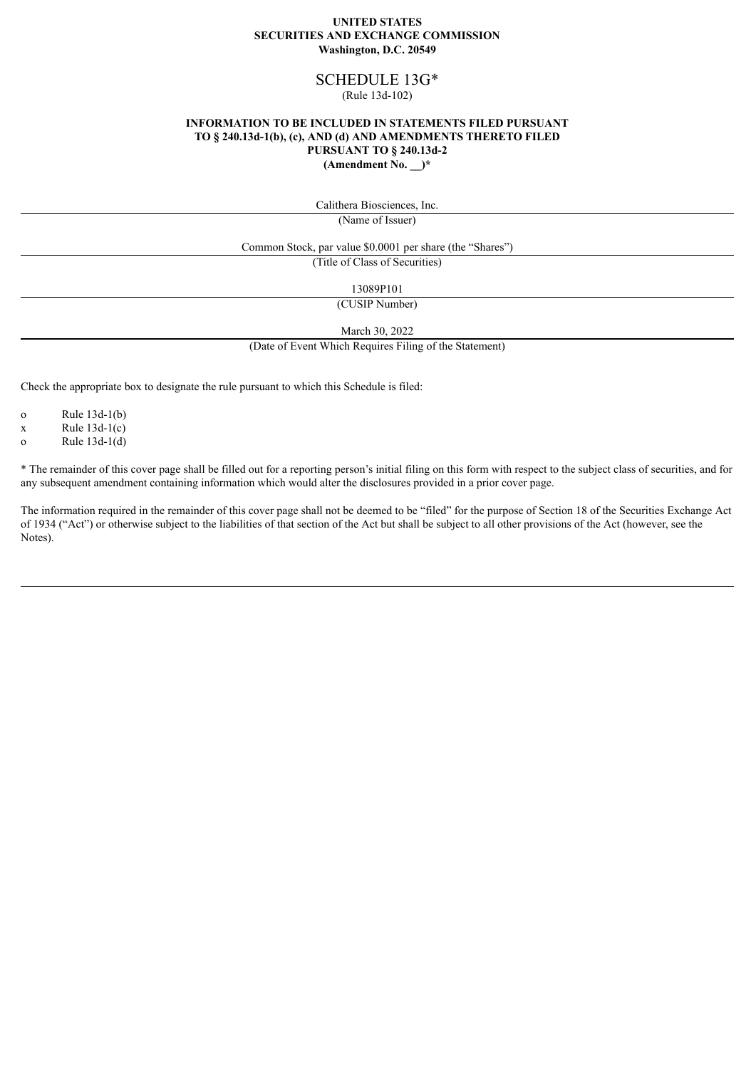### **UNITED STATES SECURITIES AND EXCHANGE COMMISSION Washington, D.C. 20549**

# SCHEDULE 13G\*

# (Rule 13d-102)

### **INFORMATION TO BE INCLUDED IN STATEMENTS FILED PURSUANT TO § 240.13d-1(b), (c), AND (d) AND AMENDMENTS THERETO FILED PURSUANT TO § 240.13d-2 (Amendment No. \_\_)\***

Calithera Biosciences, Inc.

(Name of Issuer)

Common Stock, par value \$0.0001 per share (the "Shares")

(Title of Class of Securities)

13089P101

(CUSIP Number)

March 30, 2022

(Date of Event Which Requires Filing of the Statement)

Check the appropriate box to designate the rule pursuant to which this Schedule is filed:

o Rule 13d-1(b)

 $x$  Rule 13d-1(c)

o Rule 13d-1(d)

\* The remainder of this cover page shall be filled out for a reporting person's initial filing on this form with respect to the subject class of securities, and for any subsequent amendment containing information which would alter the disclosures provided in a prior cover page.

The information required in the remainder of this cover page shall not be deemed to be "filed" for the purpose of Section 18 of the Securities Exchange Act of 1934 ("Act") or otherwise subject to the liabilities of that section of the Act but shall be subject to all other provisions of the Act (however, see the Notes).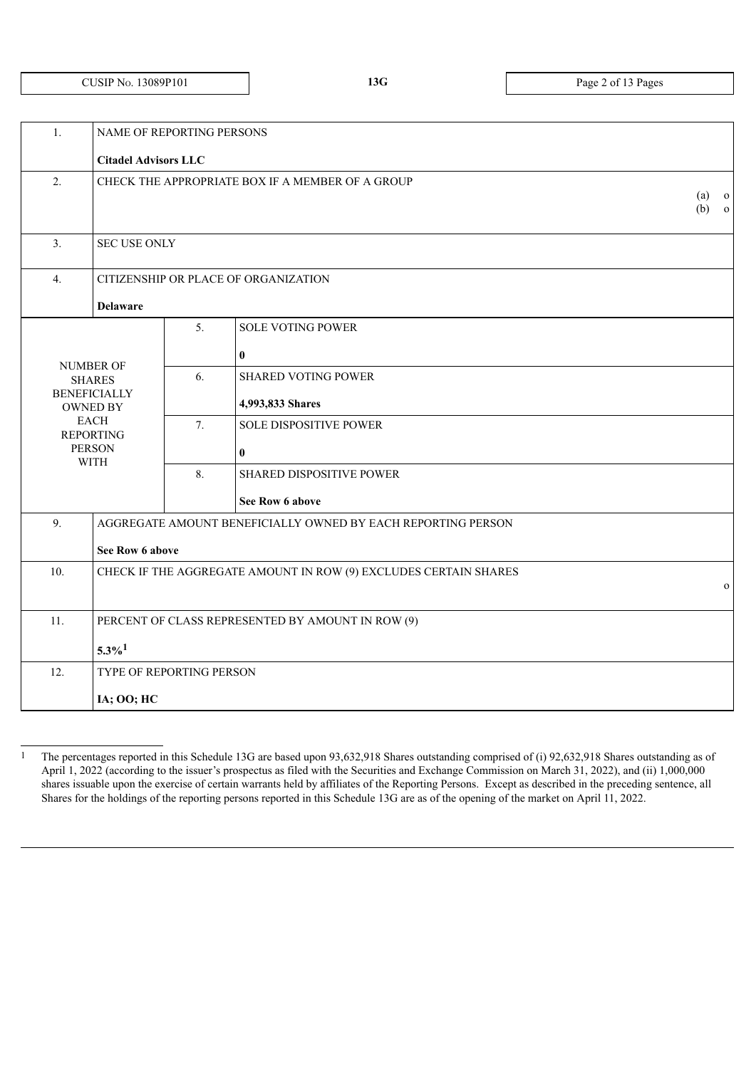# CUSIP NO. 13089P101 **13G** Page 2 of 13 Pages

| 1.                                                                      | NAME OF REPORTING PERSONS                         |    |                                                              |                    |  |
|-------------------------------------------------------------------------|---------------------------------------------------|----|--------------------------------------------------------------|--------------------|--|
|                                                                         | <b>Citadel Advisors LLC</b>                       |    |                                                              |                    |  |
| 2.                                                                      | CHECK THE APPROPRIATE BOX IF A MEMBER OF A GROUP  |    |                                                              | $(a)$ o<br>$(b)$ 0 |  |
| 3.                                                                      | <b>SEC USE ONLY</b>                               |    |                                                              |                    |  |
| 4.                                                                      |                                                   |    | CITIZENSHIP OR PLACE OF ORGANIZATION                         |                    |  |
|                                                                         | <b>Delaware</b>                                   |    |                                                              |                    |  |
|                                                                         |                                                   | 5. | <b>SOLE VOTING POWER</b>                                     |                    |  |
|                                                                         |                                                   |    | $\bf{0}$                                                     |                    |  |
|                                                                         | <b>NUMBER OF</b><br><b>SHARES</b>                 | 6. | <b>SHARED VOTING POWER</b>                                   |                    |  |
|                                                                         | <b>BENEFICIALLY</b><br><b>OWNED BY</b>            |    | 4,993,833 Shares                                             |                    |  |
|                                                                         | <b>EACH</b><br><b>REPORTING</b>                   | 7. | <b>SOLE DISPOSITIVE POWER</b>                                |                    |  |
|                                                                         | <b>PERSON</b><br><b>WITH</b>                      |    | $\bf{0}$                                                     |                    |  |
|                                                                         |                                                   | 8. | SHARED DISPOSITIVE POWER                                     |                    |  |
|                                                                         |                                                   |    | See Row 6 above                                              |                    |  |
| 9.                                                                      |                                                   |    | AGGREGATE AMOUNT BENEFICIALLY OWNED BY EACH REPORTING PERSON |                    |  |
|                                                                         | See Row 6 above                                   |    |                                                              |                    |  |
| 10.<br>CHECK IF THE AGGREGATE AMOUNT IN ROW (9) EXCLUDES CERTAIN SHARES |                                                   |    |                                                              | $\Omega$           |  |
|                                                                         |                                                   |    |                                                              |                    |  |
| 11.                                                                     | PERCENT OF CLASS REPRESENTED BY AMOUNT IN ROW (9) |    |                                                              |                    |  |
|                                                                         | $5.3\%$ <sup>1</sup>                              |    |                                                              |                    |  |
| 12.                                                                     | TYPE OF REPORTING PERSON                          |    |                                                              |                    |  |
|                                                                         | IA; OO; HC                                        |    |                                                              |                    |  |
|                                                                         |                                                   |    |                                                              |                    |  |

<sup>1</sup> The percentages reported in this Schedule 13G are based upon 93,632,918 Shares outstanding comprised of (i) 92,632,918 Shares outstanding as of April 1, 2022 (according to the issuer's prospectus as filed with the Securities and Exchange Commission on March 31, 2022), and (ii) 1,000,000 shares issuable upon the exercise of certain warrants held by affiliates of the Reporting Persons. Except as described in the preceding sentence, all Shares for the holdings of the reporting persons reported in this Schedule 13G are as of the opening of the market on April 11, 2022.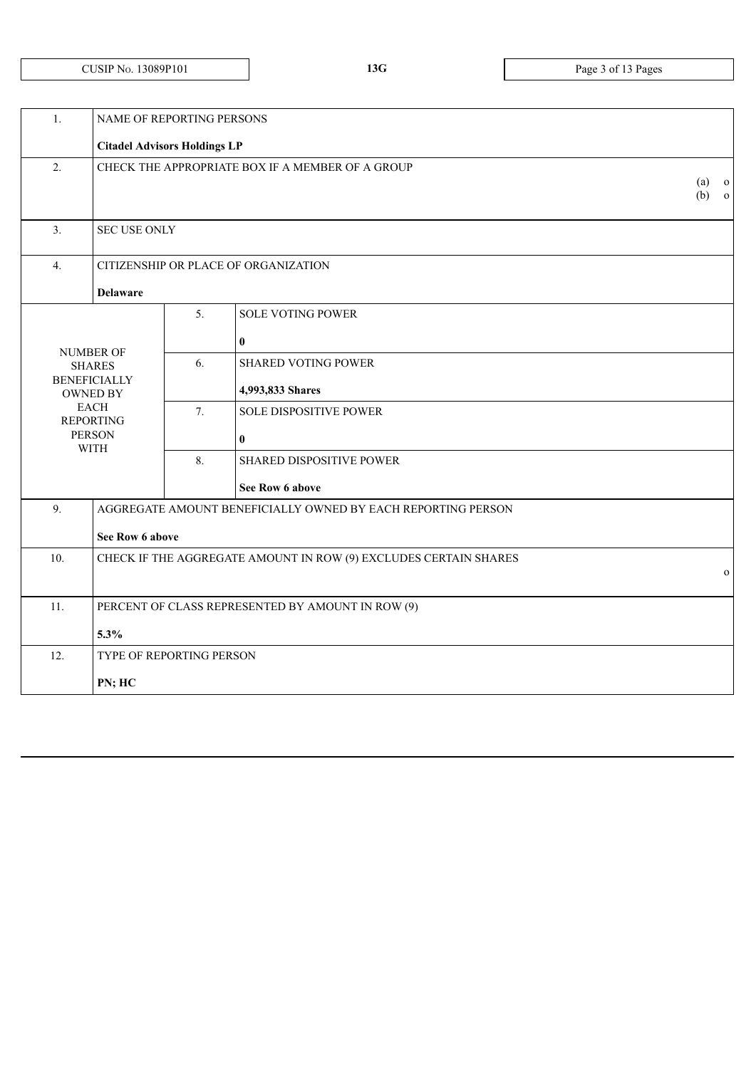| 1.                                     | NAME OF REPORTING PERSONS                                        |                                                  |                                                              |                                |  |
|----------------------------------------|------------------------------------------------------------------|--------------------------------------------------|--------------------------------------------------------------|--------------------------------|--|
|                                        | <b>Citadel Advisors Holdings LP</b>                              |                                                  |                                                              |                                |  |
| $\overline{2}$ .                       |                                                                  | CHECK THE APPROPRIATE BOX IF A MEMBER OF A GROUP | (a)<br>$\overline{O}$                                        |                                |  |
|                                        |                                                                  |                                                  |                                                              | (b)<br>$\overline{\mathbf{0}}$ |  |
| 3.                                     | <b>SEC USE ONLY</b>                                              |                                                  |                                                              |                                |  |
|                                        |                                                                  |                                                  |                                                              |                                |  |
| 4.                                     |                                                                  |                                                  | CITIZENSHIP OR PLACE OF ORGANIZATION                         |                                |  |
|                                        | <b>Delaware</b>                                                  |                                                  |                                                              |                                |  |
|                                        |                                                                  | 5.                                               | <b>SOLE VOTING POWER</b>                                     |                                |  |
| <b>NUMBER OF</b>                       |                                                                  |                                                  | $\bf{0}$                                                     |                                |  |
| <b>SHARES</b>                          |                                                                  | 6.                                               | <b>SHARED VOTING POWER</b>                                   |                                |  |
| <b>BENEFICIALLY</b><br><b>OWNED BY</b> |                                                                  |                                                  | 4,993,833 Shares                                             |                                |  |
| <b>REPORTING</b>                       | <b>EACH</b>                                                      | 7.                                               | <b>SOLE DISPOSITIVE POWER</b>                                |                                |  |
| <b>PERSON</b><br><b>WITH</b>           |                                                                  |                                                  | $\bf{0}$                                                     |                                |  |
|                                        |                                                                  | 8.                                               | SHARED DISPOSITIVE POWER                                     |                                |  |
|                                        |                                                                  |                                                  | See Row 6 above                                              |                                |  |
| 9.                                     |                                                                  |                                                  | AGGREGATE AMOUNT BENEFICIALLY OWNED BY EACH REPORTING PERSON |                                |  |
|                                        | See Row 6 above                                                  |                                                  |                                                              |                                |  |
| 10.                                    | CHECK IF THE AGGREGATE AMOUNT IN ROW (9) EXCLUDES CERTAIN SHARES |                                                  |                                                              |                                |  |
|                                        |                                                                  |                                                  |                                                              | $\mathbf{O}$                   |  |
| 11.                                    |                                                                  |                                                  | PERCENT OF CLASS REPRESENTED BY AMOUNT IN ROW (9)            |                                |  |
|                                        | 5.3%                                                             |                                                  |                                                              |                                |  |
| 12.                                    | TYPE OF REPORTING PERSON                                         |                                                  |                                                              |                                |  |
|                                        | PN; HC                                                           |                                                  |                                                              |                                |  |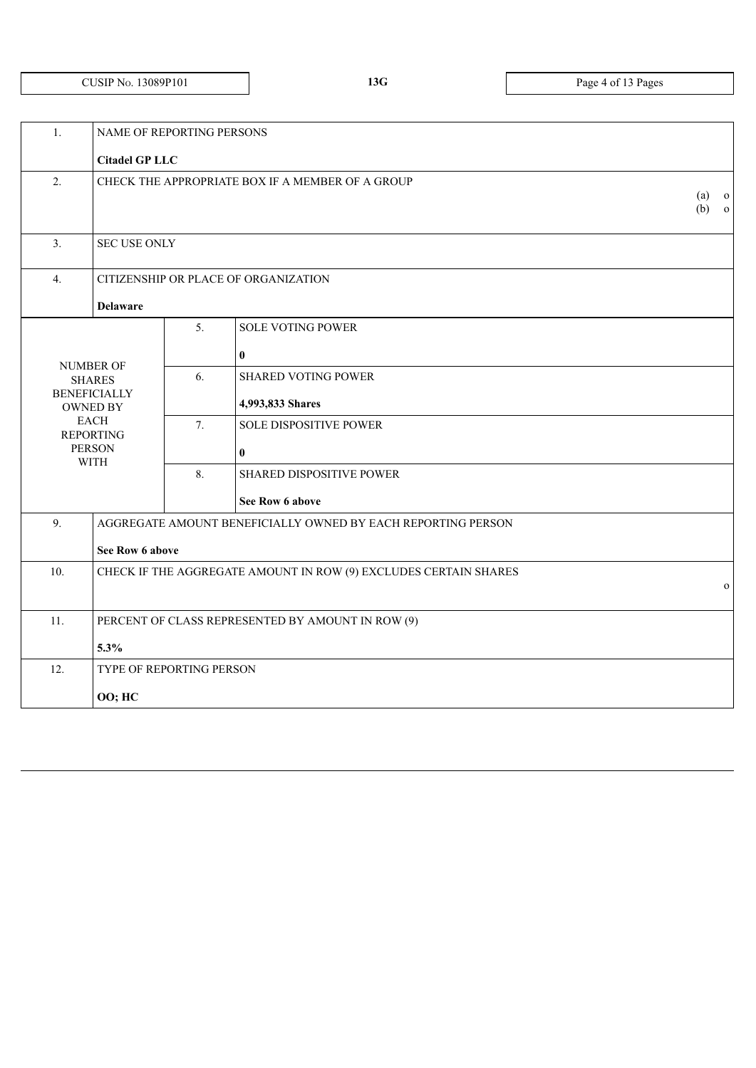# CUSIP NO. 13089P101 **13G** Page 4 of 13 Pages

| 1.<br>NAME OF REPORTING PERSONS |                                                                                  |    |                                                              |  |  |
|---------------------------------|----------------------------------------------------------------------------------|----|--------------------------------------------------------------|--|--|
|                                 |                                                                                  |    |                                                              |  |  |
| 2.                              | CHECK THE APPROPRIATE BOX IF A MEMBER OF A GROUP                                 |    |                                                              |  |  |
| 3.                              | <b>SEC USE ONLY</b>                                                              |    |                                                              |  |  |
| 4.                              |                                                                                  |    | CITIZENSHIP OR PLACE OF ORGANIZATION                         |  |  |
|                                 | <b>Delaware</b>                                                                  |    |                                                              |  |  |
|                                 |                                                                                  | 5. | <b>SOLE VOTING POWER</b>                                     |  |  |
|                                 |                                                                                  |    | $\bf{0}$                                                     |  |  |
|                                 | <b>NUMBER OF</b><br><b>SHARES</b>                                                | 6. | <b>SHARED VOTING POWER</b>                                   |  |  |
|                                 | <b>BENEFICIALLY</b><br><b>OWNED BY</b>                                           |    | 4,993,833 Shares                                             |  |  |
|                                 | <b>EACH</b><br><b>REPORTING</b>                                                  | 7. | <b>SOLE DISPOSITIVE POWER</b>                                |  |  |
|                                 | <b>PERSON</b><br><b>WITH</b>                                                     |    | $\bf{0}$                                                     |  |  |
|                                 |                                                                                  | 8. | SHARED DISPOSITIVE POWER                                     |  |  |
|                                 |                                                                                  |    | See Row 6 above                                              |  |  |
| 9.                              |                                                                                  |    | AGGREGATE AMOUNT BENEFICIALLY OWNED BY EACH REPORTING PERSON |  |  |
|                                 | See Row 6 above                                                                  |    |                                                              |  |  |
| 10.                             | CHECK IF THE AGGREGATE AMOUNT IN ROW (9) EXCLUDES CERTAIN SHARES<br>$\mathbf{O}$ |    |                                                              |  |  |
| 11.                             | PERCENT OF CLASS REPRESENTED BY AMOUNT IN ROW (9)                                |    |                                                              |  |  |
|                                 | 5.3%                                                                             |    |                                                              |  |  |
| 12.                             | TYPE OF REPORTING PERSON                                                         |    |                                                              |  |  |
|                                 | <b>OO; HC</b>                                                                    |    |                                                              |  |  |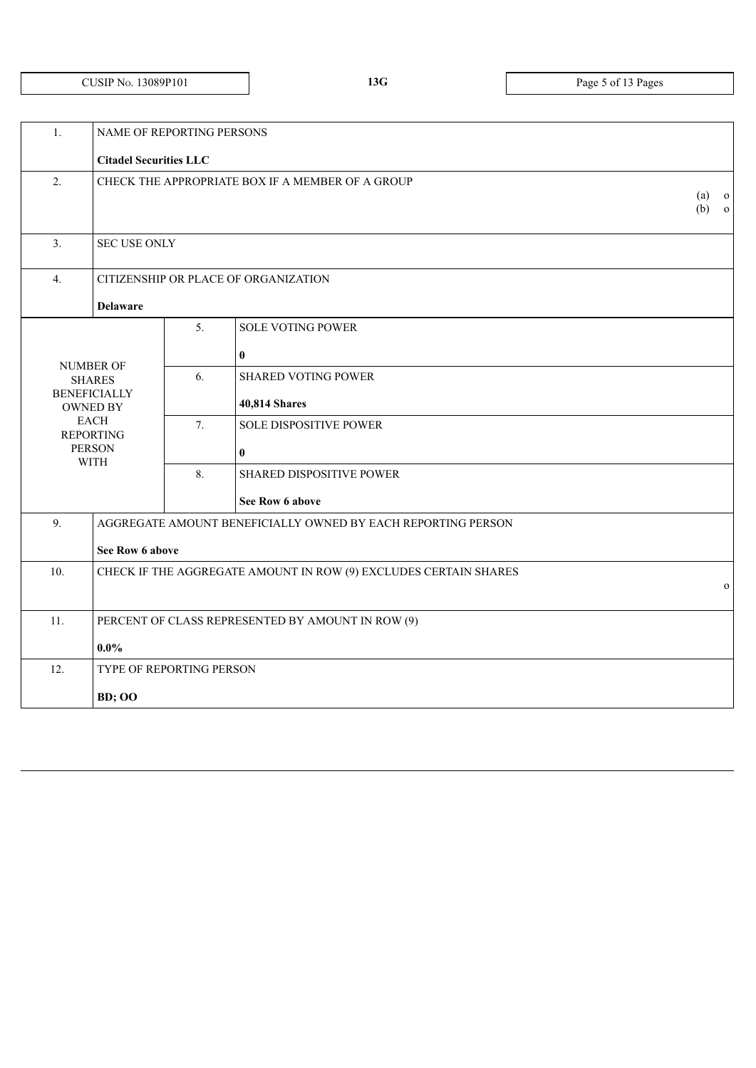# CUSIP NO. 13089P101 **13G** Page 5 of 13 Pages

| 1.  | NAME OF REPORTING PERSONS              |                                                  |                                                                  |              |              |
|-----|----------------------------------------|--------------------------------------------------|------------------------------------------------------------------|--------------|--------------|
|     | <b>Citadel Securities LLC</b>          |                                                  |                                                                  |              |              |
| 2.  |                                        | CHECK THE APPROPRIATE BOX IF A MEMBER OF A GROUP | (a)                                                              | $\mathbf{o}$ |              |
|     |                                        |                                                  |                                                                  |              |              |
|     |                                        |                                                  |                                                                  |              |              |
| 3.  | <b>SEC USE ONLY</b>                    |                                                  |                                                                  |              |              |
| 4.  |                                        |                                                  | CITIZENSHIP OR PLACE OF ORGANIZATION                             |              |              |
|     | <b>Delaware</b>                        |                                                  |                                                                  |              |              |
|     |                                        | 5 <sub>1</sub>                                   | <b>SOLE VOTING POWER</b>                                         |              |              |
|     |                                        |                                                  | $\bf{0}$                                                         |              |              |
|     | <b>NUMBER OF</b><br><b>SHARES</b>      | 6.                                               | <b>SHARED VOTING POWER</b>                                       |              |              |
|     | <b>BENEFICIALLY</b><br><b>OWNED BY</b> |                                                  | 40,814 Shares                                                    |              |              |
|     | <b>EACH</b><br><b>REPORTING</b>        | 7.                                               | <b>SOLE DISPOSITIVE POWER</b>                                    |              |              |
|     | <b>PERSON</b><br><b>WITH</b>           |                                                  | $\bf{0}$                                                         |              |              |
|     |                                        |                                                  | SHARED DISPOSITIVE POWER                                         |              |              |
|     |                                        |                                                  | See Row 6 above                                                  |              |              |
| 9.  |                                        |                                                  | AGGREGATE AMOUNT BENEFICIALLY OWNED BY EACH REPORTING PERSON     |              |              |
|     | See Row 6 above                        |                                                  |                                                                  |              |              |
| 10. |                                        |                                                  | CHECK IF THE AGGREGATE AMOUNT IN ROW (9) EXCLUDES CERTAIN SHARES |              |              |
|     |                                        |                                                  |                                                                  |              | $\mathbf{o}$ |
| 11. |                                        |                                                  | PERCENT OF CLASS REPRESENTED BY AMOUNT IN ROW (9)                |              |              |
|     | $0.0\%$                                |                                                  |                                                                  |              |              |
| 12. | TYPE OF REPORTING PERSON               |                                                  |                                                                  |              |              |
|     | <b>BD</b> ; OO                         |                                                  |                                                                  |              |              |
|     |                                        |                                                  |                                                                  |              |              |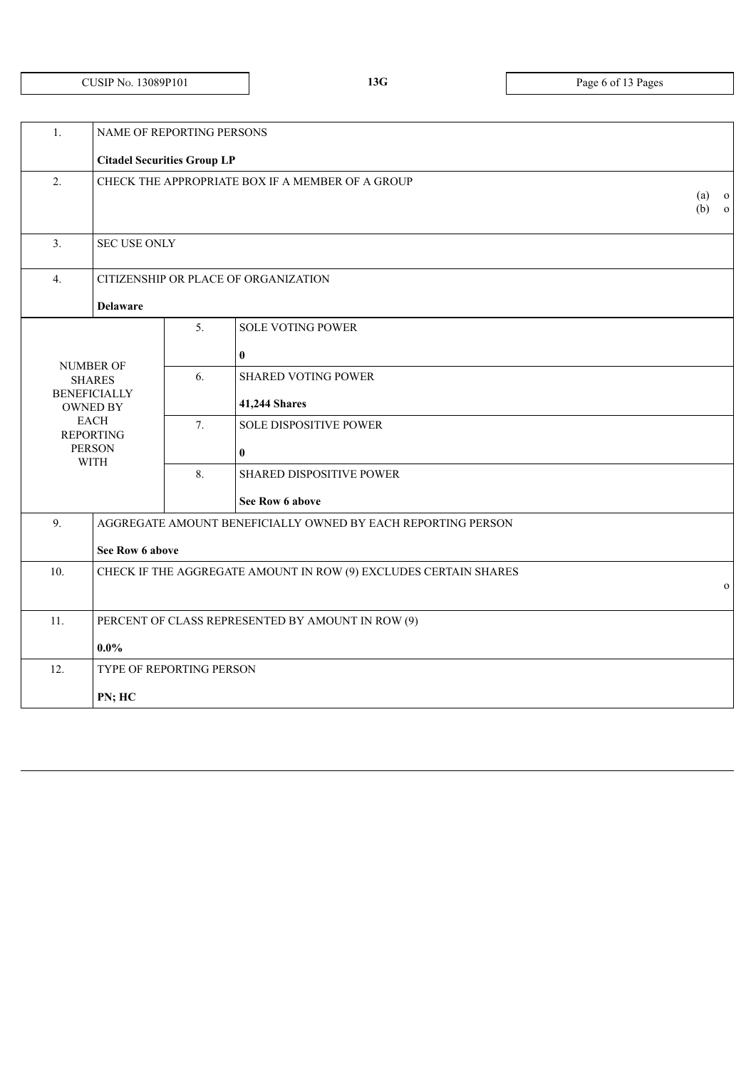**13G** Page 6 of 13 Pages

| 1.                                                                 | NAME OF REPORTING PERSONS                         |                    |                                                                  |              |  |  |
|--------------------------------------------------------------------|---------------------------------------------------|--------------------|------------------------------------------------------------------|--------------|--|--|
|                                                                    | <b>Citadel Securities Group LP</b>                |                    |                                                                  |              |  |  |
| $\overline{2}$ .                                                   | CHECK THE APPROPRIATE BOX IF A MEMBER OF A GROUP  | $(a)$ o<br>$(b)$ 0 |                                                                  |              |  |  |
| 3.                                                                 | <b>SEC USE ONLY</b>                               |                    |                                                                  |              |  |  |
| 4.                                                                 |                                                   |                    | CITIZENSHIP OR PLACE OF ORGANIZATION                             |              |  |  |
|                                                                    | <b>Delaware</b>                                   |                    |                                                                  |              |  |  |
|                                                                    |                                                   | 5.                 | <b>SOLE VOTING POWER</b>                                         |              |  |  |
|                                                                    |                                                   |                    | $\bf{0}$                                                         |              |  |  |
| <b>NUMBER OF</b>                                                   | <b>SHARES</b>                                     | 6.                 | <b>SHARED VOTING POWER</b>                                       |              |  |  |
|                                                                    | <b>BENEFICIALLY</b><br><b>OWNED BY</b>            |                    | 41,244 Shares                                                    |              |  |  |
|                                                                    | <b>EACH</b><br><b>REPORTING</b>                   | 7.                 | <b>SOLE DISPOSITIVE POWER</b>                                    |              |  |  |
| <b>PERSON</b>                                                      |                                                   |                    | $\bf{0}$                                                         |              |  |  |
|                                                                    | <b>WITH</b>                                       | 8.                 | <b>SHARED DISPOSITIVE POWER</b>                                  |              |  |  |
|                                                                    |                                                   |                    | See Row 6 above                                                  |              |  |  |
| 9.<br>AGGREGATE AMOUNT BENEFICIALLY OWNED BY EACH REPORTING PERSON |                                                   |                    |                                                                  |              |  |  |
|                                                                    | See Row 6 above                                   |                    |                                                                  |              |  |  |
| 10.                                                                |                                                   |                    | CHECK IF THE AGGREGATE AMOUNT IN ROW (9) EXCLUDES CERTAIN SHARES |              |  |  |
|                                                                    |                                                   |                    |                                                                  | $\mathbf{O}$ |  |  |
| 11.                                                                | PERCENT OF CLASS REPRESENTED BY AMOUNT IN ROW (9) |                    |                                                                  |              |  |  |
| $0.0\%$                                                            |                                                   |                    |                                                                  |              |  |  |
| 12.                                                                | TYPE OF REPORTING PERSON                          |                    |                                                                  |              |  |  |
| PN; HC                                                             |                                                   |                    |                                                                  |              |  |  |
|                                                                    |                                                   |                    |                                                                  |              |  |  |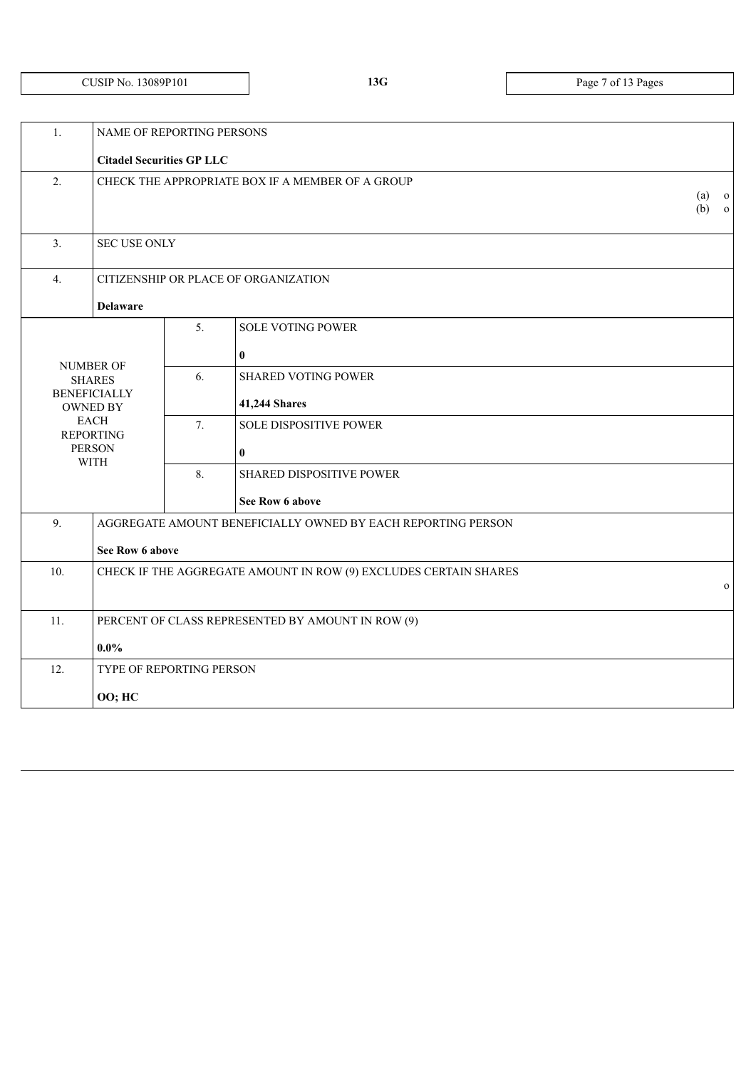|  | CUSIP No. 13089P101 |
|--|---------------------|
|--|---------------------|

**13G** Page 7 of 13 Pages

| 1.                                                                 | NAME OF REPORTING PERSONS                         |                    |                                                                  |              |  |  |
|--------------------------------------------------------------------|---------------------------------------------------|--------------------|------------------------------------------------------------------|--------------|--|--|
|                                                                    | <b>Citadel Securities GP LLC</b>                  |                    |                                                                  |              |  |  |
| 2.                                                                 | CHECK THE APPROPRIATE BOX IF A MEMBER OF A GROUP  | $(a)$ o<br>$(b)$ o |                                                                  |              |  |  |
| 3.                                                                 | <b>SEC USE ONLY</b>                               |                    |                                                                  |              |  |  |
| 4.                                                                 |                                                   |                    | CITIZENSHIP OR PLACE OF ORGANIZATION                             |              |  |  |
|                                                                    | <b>Delaware</b>                                   |                    |                                                                  |              |  |  |
|                                                                    |                                                   | 5.                 | <b>SOLE VOTING POWER</b>                                         |              |  |  |
|                                                                    |                                                   |                    | $\bf{0}$                                                         |              |  |  |
|                                                                    | <b>NUMBER OF</b><br><b>SHARES</b>                 | 6.                 | <b>SHARED VOTING POWER</b>                                       |              |  |  |
|                                                                    | <b>BENEFICIALLY</b><br><b>OWNED BY</b>            |                    | 41,244 Shares                                                    |              |  |  |
|                                                                    | <b>EACH</b><br><b>REPORTING</b>                   | 7.                 | <b>SOLE DISPOSITIVE POWER</b>                                    |              |  |  |
|                                                                    | <b>PERSON</b>                                     |                    | $\bf{0}$                                                         |              |  |  |
|                                                                    | <b>WITH</b>                                       | 8.                 | <b>SHARED DISPOSITIVE POWER</b>                                  |              |  |  |
|                                                                    |                                                   |                    | See Row 6 above                                                  |              |  |  |
| 9.<br>AGGREGATE AMOUNT BENEFICIALLY OWNED BY EACH REPORTING PERSON |                                                   |                    |                                                                  |              |  |  |
|                                                                    | See Row 6 above                                   |                    |                                                                  |              |  |  |
| 10.                                                                |                                                   |                    | CHECK IF THE AGGREGATE AMOUNT IN ROW (9) EXCLUDES CERTAIN SHARES |              |  |  |
|                                                                    |                                                   |                    |                                                                  | $\mathbf{O}$ |  |  |
| 11.                                                                | PERCENT OF CLASS REPRESENTED BY AMOUNT IN ROW (9) |                    |                                                                  |              |  |  |
|                                                                    | $0.0\%$                                           |                    |                                                                  |              |  |  |
| 12.                                                                | TYPE OF REPORTING PERSON                          |                    |                                                                  |              |  |  |
| <b>OO; HC</b>                                                      |                                                   |                    |                                                                  |              |  |  |
|                                                                    |                                                   |                    |                                                                  |              |  |  |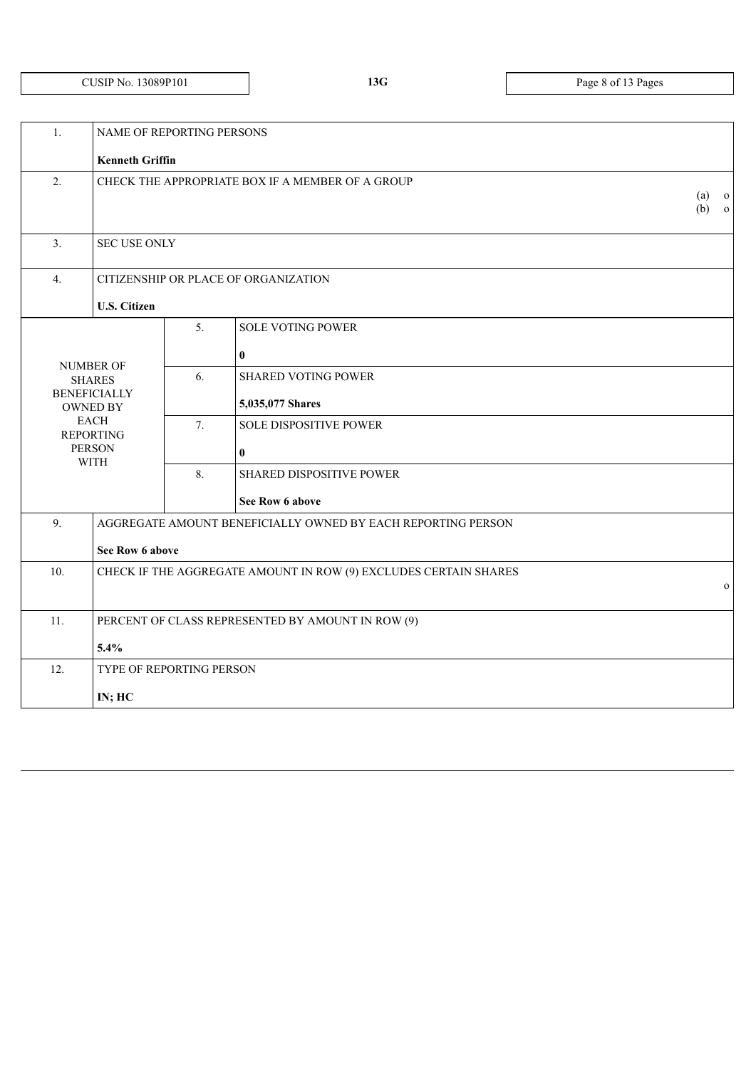# CUSIP NO. 13089P101 **13G** Page 8 of 13 Pages

| 1.  | NAME OF REPORTING PERSONS                                                        |    |                                                              |  |  |
|-----|----------------------------------------------------------------------------------|----|--------------------------------------------------------------|--|--|
|     | <b>Kenneth Griffin</b>                                                           |    |                                                              |  |  |
| 2.  | CHECK THE APPROPRIATE BOX IF A MEMBER OF A GROUP                                 |    |                                                              |  |  |
| 3.  | <b>SEC USE ONLY</b>                                                              |    |                                                              |  |  |
| 4.  |                                                                                  |    | CITIZENSHIP OR PLACE OF ORGANIZATION                         |  |  |
|     | <b>U.S. Citizen</b>                                                              |    |                                                              |  |  |
|     |                                                                                  |    | <b>SOLE VOTING POWER</b><br>$\bf{0}$                         |  |  |
|     | NUMBER OF<br><b>SHARES</b><br><b>BENEFICIALLY</b><br><b>OWNED BY</b>             | 6. | <b>SHARED VOTING POWER</b><br>5,035,077 Shares               |  |  |
|     | <b>EACH</b><br><b>REPORTING</b><br><b>PERSON</b>                                 | 7. | <b>SOLE DISPOSITIVE POWER</b><br>$\boldsymbol{0}$            |  |  |
|     | <b>WITH</b>                                                                      | 8. | <b>SHARED DISPOSITIVE POWER</b>                              |  |  |
|     |                                                                                  |    | See Row 6 above                                              |  |  |
| 9.  |                                                                                  |    | AGGREGATE AMOUNT BENEFICIALLY OWNED BY EACH REPORTING PERSON |  |  |
|     | See Row 6 above                                                                  |    |                                                              |  |  |
| 10. | CHECK IF THE AGGREGATE AMOUNT IN ROW (9) EXCLUDES CERTAIN SHARES<br>$\mathbf{O}$ |    |                                                              |  |  |
| 11. | PERCENT OF CLASS REPRESENTED BY AMOUNT IN ROW (9)                                |    |                                                              |  |  |
|     | 5.4%                                                                             |    |                                                              |  |  |
| 12. | TYPE OF REPORTING PERSON                                                         |    |                                                              |  |  |
|     | IN; HC                                                                           |    |                                                              |  |  |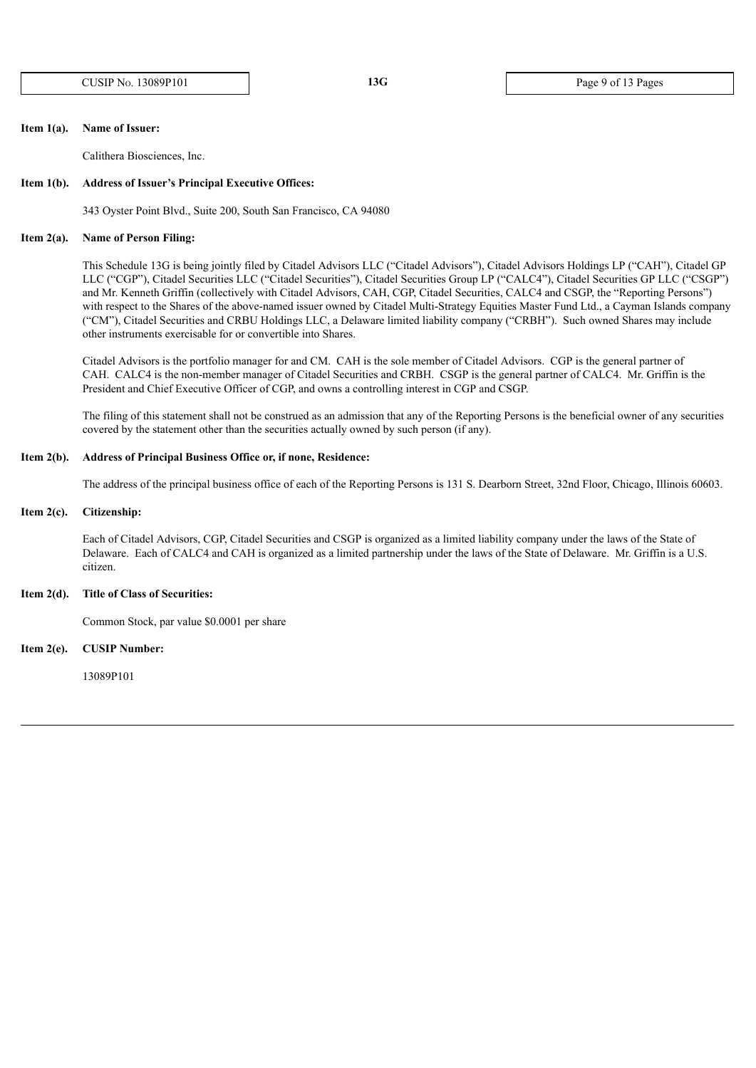CUSIP NO. 13089P101 **13G** Page 9 of 13 Pages

#### **Item 1(a). Name of Issuer:**

Calithera Biosciences, Inc.

#### **Item 1(b). Address of Issuer's Principal Executive Offices:**

343 Oyster Point Blvd., Suite 200, South San Francisco, CA 94080

#### **Item 2(a). Name of Person Filing:**

This Schedule 13G is being jointly filed by Citadel Advisors LLC ("Citadel Advisors"), Citadel Advisors Holdings LP ("CAH"), Citadel GP LLC ("CGP"), Citadel Securities LLC ("Citadel Securities"), Citadel Securities Group LP ("CALC4"), Citadel Securities GP LLC ("CSGP") and Mr. Kenneth Griffin (collectively with Citadel Advisors, CAH, CGP, Citadel Securities, CALC4 and CSGP, the "Reporting Persons") with respect to the Shares of the above-named issuer owned by Citadel Multi-Strategy Equities Master Fund Ltd., a Cayman Islands company ("CM"), Citadel Securities and CRBU Holdings LLC, a Delaware limited liability company ("CRBH"). Such owned Shares may include other instruments exercisable for or convertible into Shares.

Citadel Advisors is the portfolio manager for and CM. CAH is the sole member of Citadel Advisors. CGP is the general partner of CAH. CALC4 is the non-member manager of Citadel Securities and CRBH. CSGP is the general partner of CALC4. Mr. Griffin is the President and Chief Executive Officer of CGP, and owns a controlling interest in CGP and CSGP.

The filing of this statement shall not be construed as an admission that any of the Reporting Persons is the beneficial owner of any securities covered by the statement other than the securities actually owned by such person (if any).

### **Item 2(b). Address of Principal Business Office or, if none, Residence:**

The address of the principal business office of each of the Reporting Persons is 131 S. Dearborn Street, 32nd Floor, Chicago, Illinois 60603.

#### **Item 2(c). Citizenship:**

Each of Citadel Advisors, CGP, Citadel Securities and CSGP is organized as a limited liability company under the laws of the State of Delaware. Each of CALC4 and CAH is organized as a limited partnership under the laws of the State of Delaware. Mr. Griffin is a U.S. citizen.

#### **Item 2(d). Title of Class of Securities:**

Common Stock, par value \$0.0001 per share

**Item 2(e). CUSIP Number:**

13089P101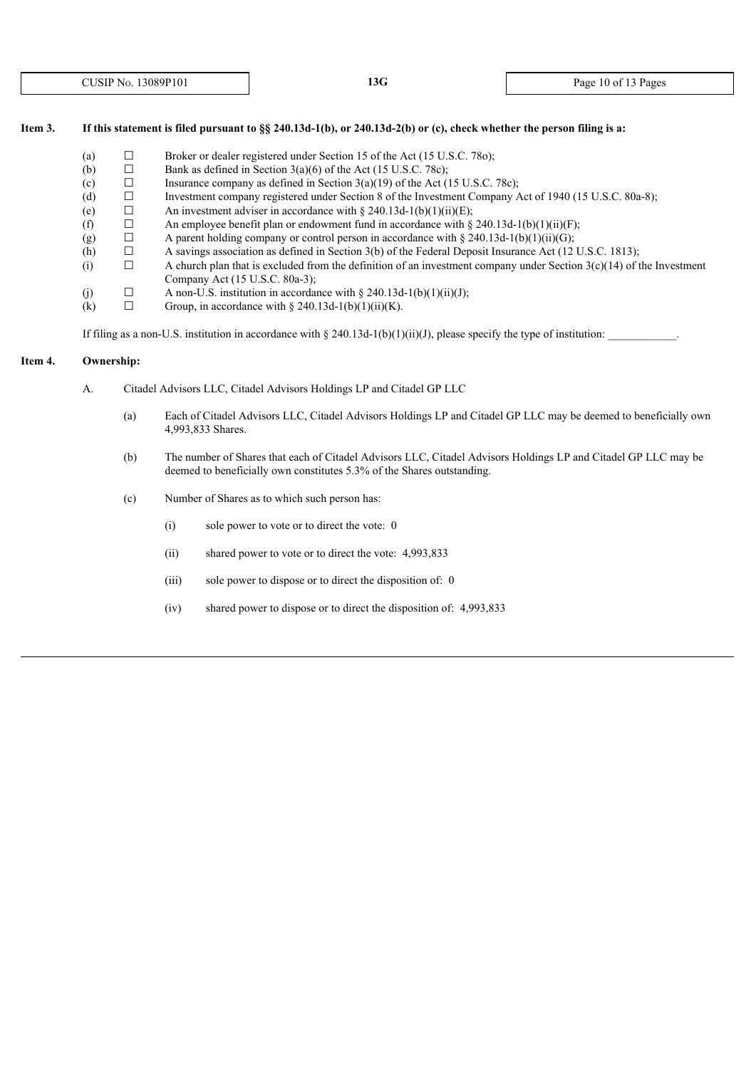# Item 3. If this statement is filed pursuant to §§ 240.13d-1(b), or 240.13d-2(b) or (c), check whether the person filing is a:

- (a)  $\Box$  Broker or dealer registered under Section 15 of the Act (15 U.S.C. 780);
- (b)  $\Box$  Bank as defined in Section 3(a)(6) of the Act (15 U.S.C. 78c);
- (c)  $\Box$  Insurance company as defined in Section 3(a)(19) of the Act (15 U.S.C. 78c);
- (d) ☐ Investment company registered under Section 8 of the Investment Company Act of 1940 (15 U.S.C. 80a-8);
- (e)  $\Box$  An investment adviser in accordance with § 240.13d-1(b)(1)(ii)(E);
- (f)  $\Box$  An employee benefit plan or endowment fund in accordance with § 240.13d-1(b)(1)(ii)(F);
- (g)  $\Box$  A parent holding company or control person in accordance with § 240.13d-1(b)(1)(ii)(G);
- (h)  $\Box$  A savings association as defined in Section 3(b) of the Federal Deposit Insurance Act (12 U.S.C. 1813);<br>(i)  $\Box$  A church plan that is excluded from the definition of an investment company under Section 3(c)(14)
- (i)  $\Box$  A church plan that is excluded from the definition of an investment company under Section 3(c)(14) of the Investment Company Act (15 U.S.C. 80a-3);
- (j)  $\Box$  A non-U.S. institution in accordance with § 240.13d-1(b)(1)(ii)(J);
- (k)  $\Box$  Group, in accordance with § 240.13d-1(b)(1)(ii)(K).

If filing as a non-U.S. institution in accordance with § 240.13d-1(b)(1)(ii)(J), please specify the type of institution:

# **Item 4. Ownership:**

- A. Citadel Advisors LLC, Citadel Advisors Holdings LP and Citadel GP LLC
	- (a) Each of Citadel Advisors LLC, Citadel Advisors Holdings LP and Citadel GP LLC may be deemed to beneficially own 4,993,833 Shares.
	- (b) The number of Shares that each of Citadel Advisors LLC, Citadel Advisors Holdings LP and Citadel GP LLC may be deemed to beneficially own constitutes 5.3% of the Shares outstanding.
	- (c) Number of Shares as to which such person has:
		- (i) sole power to vote or to direct the vote: 0
		- (ii) shared power to vote or to direct the vote: 4,993,833
		- (iii) sole power to dispose or to direct the disposition of: 0
		- (iv) shared power to dispose or to direct the disposition of: 4,993,833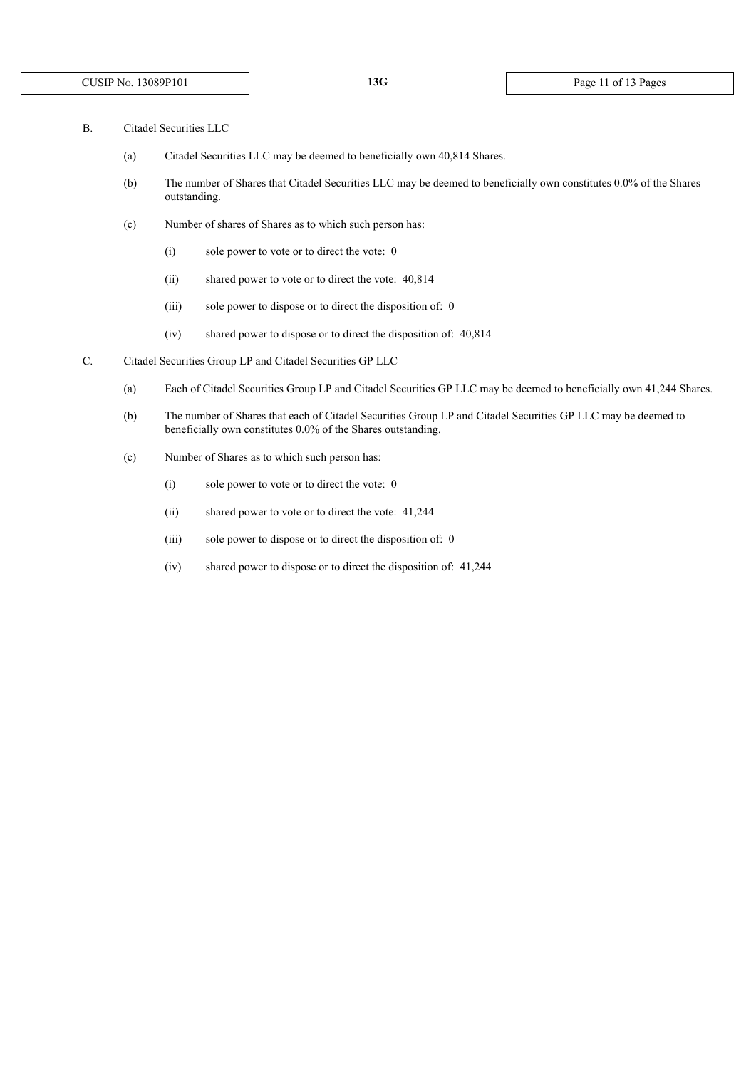- B. Citadel Securities LLC
	- (a) Citadel Securities LLC may be deemed to beneficially own 40,814 Shares.
	- (b) The number of Shares that Citadel Securities LLC may be deemed to beneficially own constitutes 0.0% of the Shares outstanding.
	- (c) Number of shares of Shares as to which such person has:
		- (i) sole power to vote or to direct the vote: 0
		- (ii) shared power to vote or to direct the vote: 40,814
		- (iii) sole power to dispose or to direct the disposition of: 0
		- (iv) shared power to dispose or to direct the disposition of: 40,814
- C. Citadel Securities Group LP and Citadel Securities GP LLC
	- (a) Each of Citadel Securities Group LP and Citadel Securities GP LLC may be deemed to beneficially own 41,244 Shares.
	- (b) The number of Shares that each of Citadel Securities Group LP and Citadel Securities GP LLC may be deemed to beneficially own constitutes 0.0% of the Shares outstanding.
	- (c) Number of Shares as to which such person has:
		- (i) sole power to vote or to direct the vote: 0
		- (ii) shared power to vote or to direct the vote: 41,244
		- (iii) sole power to dispose or to direct the disposition of: 0
		- (iv) shared power to dispose or to direct the disposition of: 41,244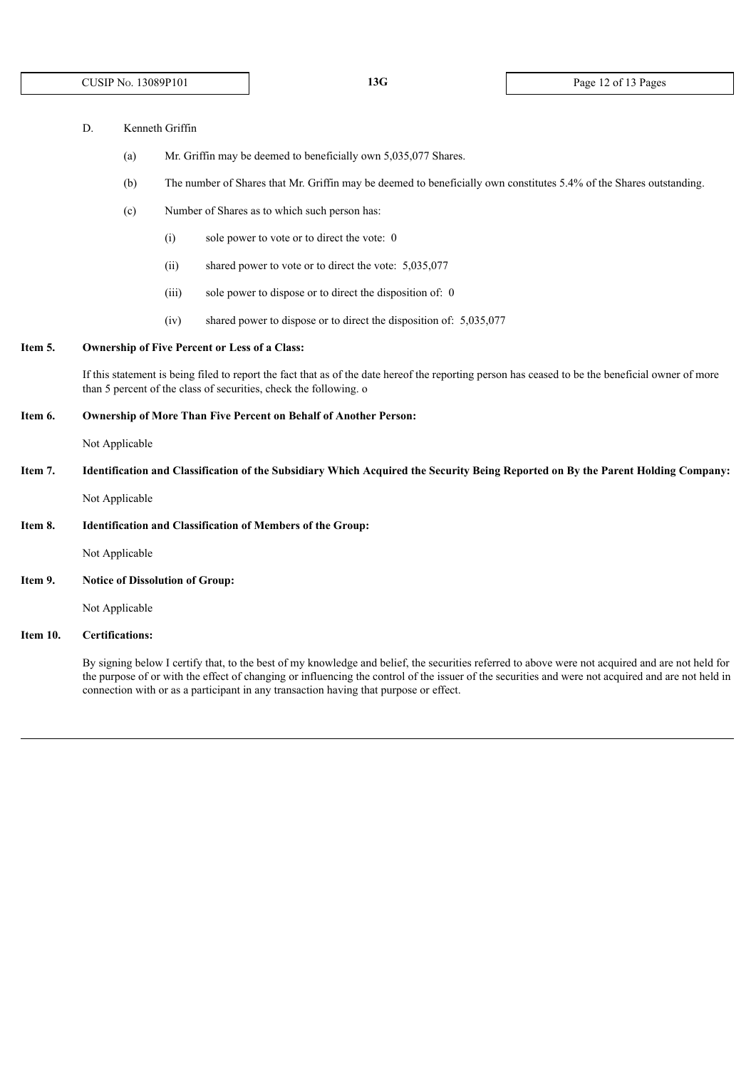- (a) Mr. Griffin may be deemed to beneficially own 5,035,077 Shares.
- (b) The number of Shares that Mr. Griffin may be deemed to beneficially own constitutes 5.4% of the Shares outstanding.
- (c) Number of Shares as to which such person has:
	- (i) sole power to vote or to direct the vote: 0
	- (ii) shared power to vote or to direct the vote: 5,035,077
	- (iii) sole power to dispose or to direct the disposition of: 0
	- (iv) shared power to dispose or to direct the disposition of: 5,035,077

### **Item 5. Ownership of Five Percent or Less of a Class:**

If this statement is being filed to report the fact that as of the date hereof the reporting person has ceased to be the beneficial owner of more than 5 percent of the class of securities, check the following. o

#### **Item 6. Ownership of More Than Five Percent on Behalf of Another Person:**

Not Applicable

Item 7. Identification and Classification of the Subsidiary Which Acquired the Security Being Reported on By the Parent Holding Company:

Not Applicable

#### **Item 8. Identification and Classification of Members of the Group:**

Not Applicable

**Item 9. Notice of Dissolution of Group:**

Not Applicable

# **Item 10. Certifications:**

By signing below I certify that, to the best of my knowledge and belief, the securities referred to above were not acquired and are not held for the purpose of or with the effect of changing or influencing the control of the issuer of the securities and were not acquired and are not held in connection with or as a participant in any transaction having that purpose or effect.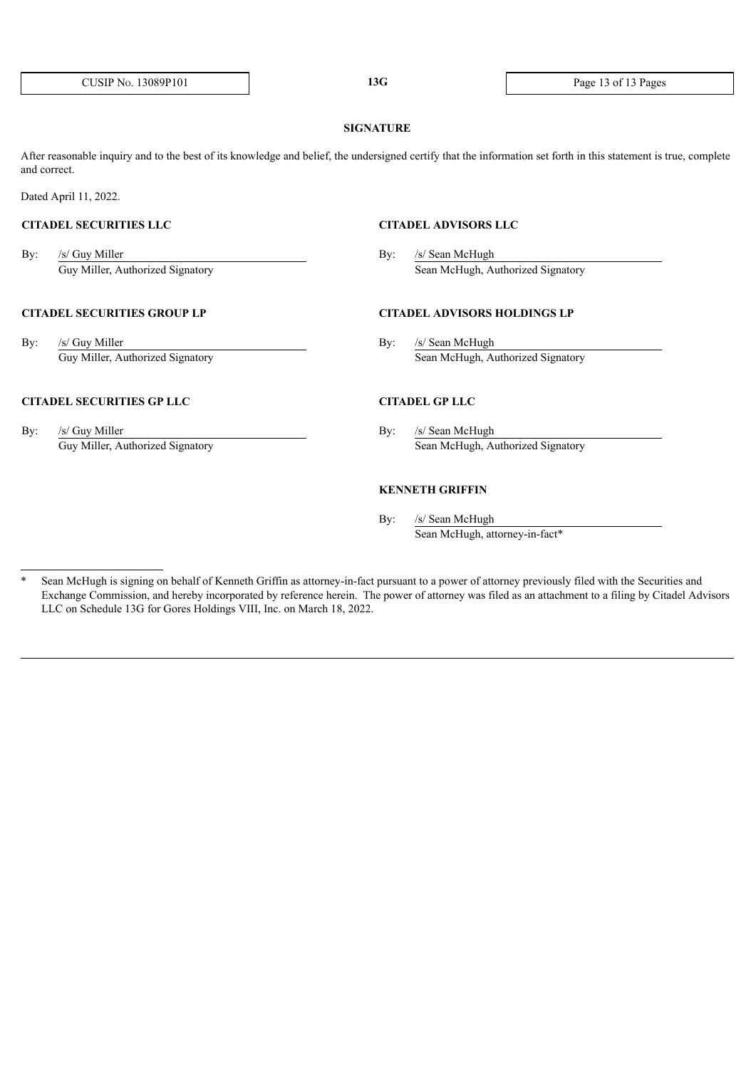#### **SIGNATURE**

After reasonable inquiry and to the best of its knowledge and belief, the undersigned certify that the information set forth in this statement is true, complete and correct.

Dated April 11, 2022.

By: /s/ Guy Miller By: /s/ Sean McHugh

# **CITADEL SECURITIES GROUP LP CITADEL ADVISORS HOLDINGS LP**

By: /s/ Guy Miller By: /s/ Sean McHugh

# **CITADEL SECURITIES GP LLC CITADEL GP LLC**

By: /s/ Guy Miller By: /s/ Sean McHugh

# **CITADEL SECURITIES LLC CITADEL ADVISORS LLC**

Guy Miller, Authorized Signatory Sean McHugh, Authorized Signatory

Guy Miller, Authorized Signatory Sean McHugh, Authorized Signatory

Guy Miller, Authorized Signatory Sean McHugh, Authorized Signatory

## **KENNETH GRIFFIN**

By: /s/ Sean McHugh Sean McHugh, attorney-in-fact\*

<sup>\*</sup> Sean McHugh is signing on behalf of Kenneth Griffin as attorney-in-fact pursuant to a power of attorney previously filed with the Securities and Exchange Commission, and hereby incorporated by reference herein. The power of attorney was filed as an attachment to a filing by Citadel Advisors LLC on Schedule 13G for Gores Holdings VIII, Inc. on March 18, 2022.